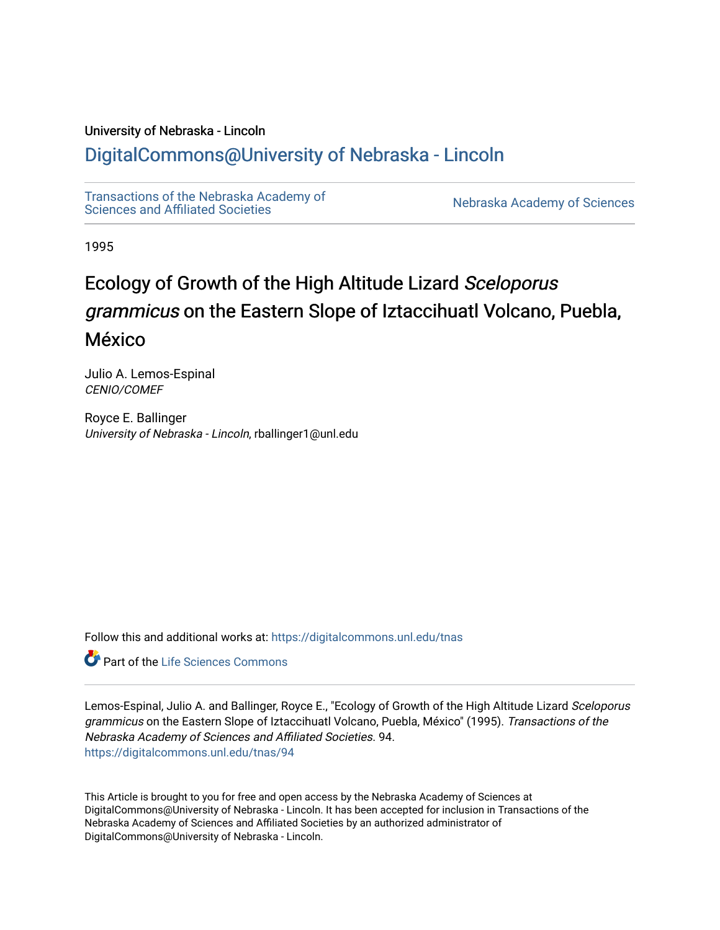# University of Nebraska - Lincoln

# [DigitalCommons@University of Nebraska - Lincoln](https://digitalcommons.unl.edu/)

[Transactions of the Nebraska Academy of](https://digitalcommons.unl.edu/tnas)  Transactions of the Nebraska Academy of Sciences<br>Sciences and Affiliated Societies

1995

# Ecology of Growth of the High Altitude Lizard Sceloporus grammicus on the Eastern Slope of Iztaccihuatl Volcano, Puebla, México

Julio A. Lemos-Espinal CENIO/COMEF

Royce E. Ballinger University of Nebraska - Lincoln, rballinger1@unl.edu

Follow this and additional works at: [https://digitalcommons.unl.edu/tnas](https://digitalcommons.unl.edu/tnas?utm_source=digitalcommons.unl.edu%2Ftnas%2F94&utm_medium=PDF&utm_campaign=PDFCoverPages) 

**C** Part of the Life Sciences Commons

Lemos-Espinal, Julio A. and Ballinger, Royce E., "Ecology of Growth of the High Altitude Lizard Sceloporus grammicus on the Eastern Slope of Iztaccihuatl Volcano, Puebla, México" (1995). Transactions of the Nebraska Academy of Sciences and Affiliated Societies. 94. [https://digitalcommons.unl.edu/tnas/94](https://digitalcommons.unl.edu/tnas/94?utm_source=digitalcommons.unl.edu%2Ftnas%2F94&utm_medium=PDF&utm_campaign=PDFCoverPages)

This Article is brought to you for free and open access by the Nebraska Academy of Sciences at DigitalCommons@University of Nebraska - Lincoln. It has been accepted for inclusion in Transactions of the Nebraska Academy of Sciences and Affiliated Societies by an authorized administrator of DigitalCommons@University of Nebraska - Lincoln.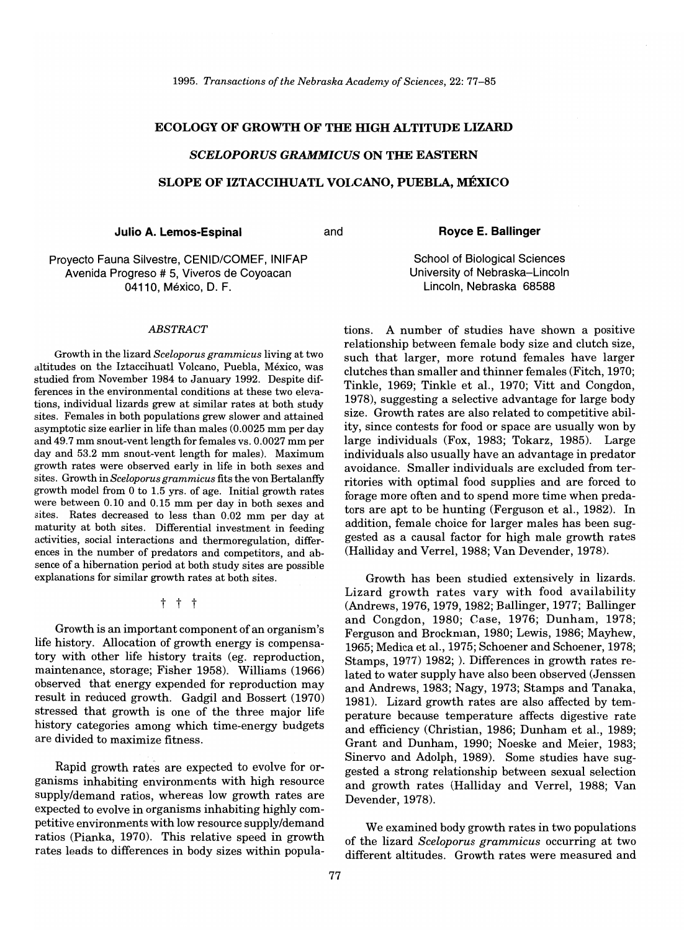#### **ECOLOGY OF GROWTH OF THE mGH ALTITUDE LIZARD**

#### *SCELOPORUS GRAMM/CUS* **ON THE EASTERN**

#### **SLOPE OF IZTACCIHUATL VOLCANO, PUEBLA, MEXICO**

**Julio A. Lemos-Espinal** 

and

**Royce E. Ballinger** 

School of Biological Sciences University of Nebraska-Lincoln Lincoln, Nebraska 68588

Proyecto Fauna Silvestre, CENIO/COMEF, INIFAP Avenida Progreso # 5, Viveros de Coyoacan 04110, Mexico, O. F.

#### *ABSTRACT*

Growth in the lizard *Sceloporus grammicus* living at two altitudes on the Iztaccihuatl Volcano, Puebla, Mexico, was studied from November 1984 to January 1992. Despite differences in the environmental conditions at these two elevations, individual lizards grew at similar rates at both study sites. Females in both populations grew slower and attained asymptotic size earlier in life than males (0.0025 mm per day and 49.7 mm snout-vent length for females vs. 0.0027 mm per day and 53.2 mm snout-vent length for males). Maximum growth rates were observed early in life in both sexes and sites. Growth in *Sceloporus grammicus* fits the von Bertalanffy growth model from 0 to 1.5 yrs. of age. Initial growth rates were between 0.10 and 0.15 mm per day in both sexes and sites. Rates decreased to less than 0.02 mm per day at maturity at both sites. Differential investment in feeding activities, social interactions and thermoregulation, differences in the number of predators and competitors, and absence of a hibernation period at both study sites are possible explanations for similar growth rates at both sites.

t t t

Growth is an important component of an organism's life history. Allocation of growth energy is compensatory with other life history traits (eg. reproduction, maintenance, storage; Fisher 1958). Williams (1966) observed that energy expended for reproduction may result in reduced growth. Gadgil and Bossert (1970) stressed that growth is one of the three major life history categories among which time-energy budgets are divided to maximize fitness.

Rapid growth rates are expected to evolve for organisms inhabiting environments with high resource supply/demand ratios, whereas low growth rates are expected to evolve in organisms inhabiting highly competitive environments with low resource supply/demand ratios (Pianka, 1970). This relative speed in growth rates leads to differences in body sizes within populations. A number of studies have shown a positive relationship between female body size and clutch size, such that larger, more rotund females have larger clutches than smaller and thinner females (Fitch, 1970; Tinkle, 1969; Tinkle et aI., 1970; Vitt and Congdon, 1978), suggesting a selective advantage for large body size. Growth rates are also related to competitive ability, since contests for food or space are usually won by large individuals (Fox, 1983; Tokarz, 1985). Large individuals also usually have an advantage in predator avoidance. Smaller individuals are excluded from territories with optimal food supplies and are forced to forage more often and to spend more time when predators are apt to be hunting (Ferguson et aI., 1982). In addition, female choice for larger males has been suggested as a causal factor for high male growth rates (Halliday and Verrel, 1988; Van Devender, 1978).

Growth has been studied extensively in lizards. Lizard growth rates vary with food availability (Andrews, 1976, 1979, 1982; Ballinger, 1977; Ballinger and Congdon, 1980; Case, 1976; Dunham, 1978; Ferguson and Brockman, 1980; Lewis, 1986; Mayhew, 1965; Medica et aI., 1975; Schoener and Schoener, 1978; Stamps, 1977) 1982; ). Differences in growth rates related to water supply have also been observed (Jenssen and Andrews, 1983; Nagy, 1973; Stamps and Tanaka, 1981). Lizard growth rates are also affected by temperature because temperature affects digestive rate and efficiency (Christian, 1986; Dunham et aI., 1989; Grant and Dunham, 1990; Noeske and Meier, 1983; Sinervo and Adolph, 1989). Some studies have suggested a strong relationship between sexual selection and growth rates (Halliday and Verrel, 1988; Van Devender, 1978).

We examined body growth rates in two populations of the lizard *Sceloporus grammicus* occurring at two different altitudes. Growth rates were measured and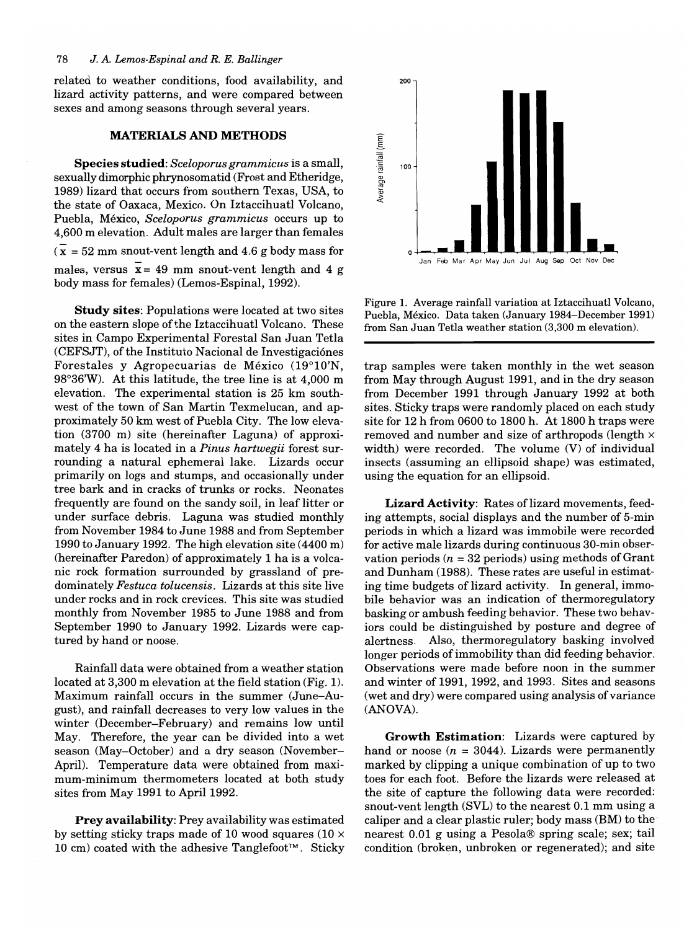related to weather conditions, food availability, and lizard activity patterns, and were compared between sexes and among seasons through several years.

#### MATERIALS AND METHODS

Species studied: *Sceloporus grammicus* is a small, sexually dimorphic phrynosomatid (Frost and Etheridge, 1989) lizard that occurs from southern Texas, USA, to the state of Oaxaca, Mexico. On Iztaccihuatl Volcano, Puebla, Mexico, *Sceloporus grammicus* occurs up to 4,600 m elevation. Adult males are larger than females  $(x = 52$  mm snout-vent length and 4.6 g body mass for males, versus  $\bar{x} = 49$  mm snout-vent length and 4 g body mass for females) (Lemos-Espinal, 1992).

Study sites: Populations were located at two sites on the eastern slope of the Iztaccihuatl Volcano. These sites in Campo Experimental Forestal San Juan Tetla (CEFSJT), of the Instituto Nacional de Investigaciones Forestales y Agropecuarias de Mexico (19°10'N, 98°36'W). At this latitude, the tree line is at 4,000 m elevation. The experimental station is 25 km southwest of the town of San Martin Texmelucan, and approximately 50 km west of Puebla City. The low elevation (3700 m) site (hereinafter Laguna) of approximately 4 ha is located in a *Pinus hartwegii* forest surrounding a natural ephemeral lake. Lizards occur primarily on logs and stumps, and occasionally under tree bark and in cracks of trunks or rocks. Neonates frequently are found on the sandy soil, in leaf litter or under surface debris. Laguna was studied monthly from November 1984 to June 1988 and from September 1990 to January 1992. The high elevation site (4400 m)  $(hereinafter Paredon)$  of approximately 1 ha is a volcanic rock formation surrounded by grassland of predominately *Festuca tolucensis.* Lizards at this site live under rocks and in rock crevices. This site was studied monthly from November 1985 to June 1988 and from September 1990 to January 1992. Lizards were captured by hand or noose.

Rainfall data were obtained from a weather station located at 3,300 m elevation at the field station (Fig. 1). Maximum rainfall occurs in the summer (June-August), and rainfall decreases to very low values in the winter (December-February) and remains low until May. Therefore, the year can be divided into a wet season (May-October) and a dry season (November-April). Temperature data were obtained from maximum-minimum thermometers located at both study sites from May 1991 to April 1992.

Prey availability: Prey availability was estimated by setting sticky traps made of 10 wood squares (10  $\times$ 10 cm) coated with the adhesive Tanglefoot™. Sticky



Figure 1. Average rainfall variation at Iztaccihuatl Volcano, Puebla, Mexico. Data taken (January 1984-December 1991) from San Juan Tetla weather station (3,300 m elevation).

trap samples were taken monthly in the wet season from May through August 1991, and in the dry season from December 1991 through January 1992 at both sites. Sticky traps were randomly placed on each study site for 12 h from 0600 to 1800 h. At 1800 h traps were removed and number and size of arthropods (length  $\times$ width) were recorded. The volume (V) of individual insects (assuming an ellipsoid shape) was estimated, using the equation for an ellipsoid.

Lizard Activity: Rates of lizard movements, feeding attempts, social displays and the number of 5-min periods in which a lizard was immobile were recorded for active male lizards during continuous 30-min observation periods  $(n = 32 \text{ periods})$  using methods of Grant and Dunham (1988). These rates are useful in estimating time budgets of lizard activity. In general, immobile behavior was an indication of thermoregulatory basking or ambush feeding behavior. These two behaviors could be distinguished by posture and degree of alertness. Also, thermoregulatory basking involved longer periods of immobility than did feeding behavior. Observations were made before noon in the summer and winter of 1991, 1992, and 1993. Sites and seasons (wet and dry) were compared using analysis of variance (ANOVA).

Growth Estimation: Lizards were captured by hand or noose  $(n = 3044)$ . Lizards were permanently marked by clipping a unique combination of up to two toes for each foot. Before the lizards were released at the site of capture the following data were recorded: snout-vent length (SVL) to the nearest 0.1 mm using a caliper and a clear plastic ruler; body mass (BM) to the nearest 0.01 g using a Pesola® spring scale; sex; tail condition (broken, unbroken or regenerated); and site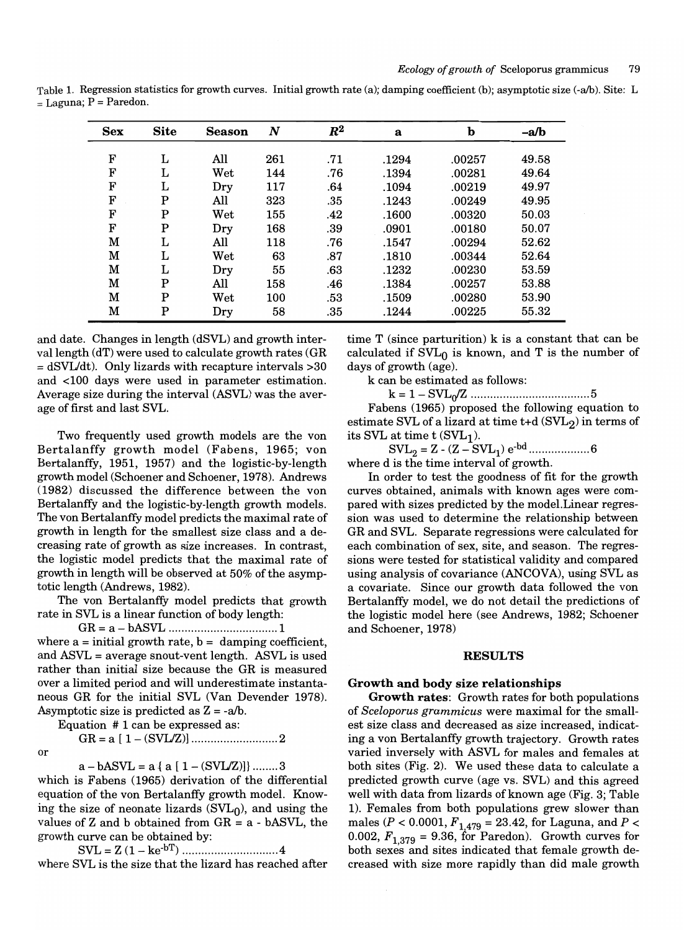| <b>Sex</b> | <b>Site</b>  | <b>Season</b> | $\boldsymbol{N}$ | $R^2$ | a     | b      | $-a/b$ |
|------------|--------------|---------------|------------------|-------|-------|--------|--------|
| F          | L            | All           | 261              | .71   | .1294 | .00257 | 49.58  |
| F          | L            | Wet           | 144              | .76   | .1394 | .00281 | 49.64  |
| F          | L            | Dry           | 117              | .64   | .1094 | .00219 | 49.97  |
| F          | P            | All           | 323              | .35   | .1243 | .00249 | 49.95  |
| F          | $\mathbf{P}$ | Wet           | 155              | .42   | .1600 | .00320 | 50.03  |
| F          | P            | Dry           | 168              | .39   | .0901 | .00180 | 50.07  |
| м          | L            | All           | 118              | .76   | .1547 | .00294 | 52.62  |
| М          | L            | Wet           | 63               | .87   | .1810 | .00344 | 52.64  |
| м          | L            | Dry           | 55               | .63   | .1232 | .00230 | 53.59  |
| М          | P            | All           | 158              | .46   | .1384 | .00257 | 53.88  |
| м          | P            | Wet           | 100              | .53   | .1509 | .00280 | 53.90  |
| м          | $\mathbf P$  | Dry           | 58               | .35   | .1244 | .00225 | 55.32  |

Table 1. Regression statistics for growth curves. Initial growth rate (a); damping coefficient (b); asymptotic size (-alb). Site: L  $=$  Laguna; P = Paredon.

and date. Changes in length (dSVL) and growth interval length (dT) were used to calculate growth rates (GR  $=$  dSVL/dt). Only lizards with recapture intervals  $>$ 30 and <100 days were used in parameter estimation. Average size during the interval (ASVL) was the average of first and last SVL.

Two frequently used growth models are the von Bertalanffy growth model (Fabens, 1965; von Bertalanffy, 1951, 1957) and the logistic-by-Iength growth model (Schoener and Schoener, 1978). Andrews (1982) discussed the difference between the von Bertalanffy and the logistic-by-Iength growth models. The von Bertalanffy model predicts the maximal rate of growth in length for the smallest size class and a decreasing rate of growth as size increases. In contrast, the logistic model predicts that the maximal rate of growth in length will be observed at  $50\%$  of the asymptotic length (Andrews, 1982).

The von Bertalanffy model predicts that growth rate in SVL is a linear function of body length:

GR = a - bASVL .................................. 1

where  $a =$  initial growth rate,  $b =$  damping coefficient, and ASVL = average snout-vent length. ASVL is used rather than initial size because the GR is measured over a limited period and will underestimate instantaneous GR for the initial SVL (Van Devender 1978). Asymptotic size is predicted as  $Z = -a/b$ .

Equation # 1 can be expressed as:

$$
GR = a [1 - (SVL/Z)] \dots 2
$$

or

 $a - bASVL = a$  {  $a [1 - (SVL/Z)]$ } ........ 3

which is Fabens (1965) derivation of the differential equation of the von Bertalanffy growth model. Knowing the size of neonate lizards  $(SVL<sub>0</sub>)$ , and using the values of Z and b obtained from  $GR = a - bASVL$ , the growth curve can be obtained by:

SVL = Z (1- ke-bT) ............................. .4 where SVL is the size that the lizard has reached after time T (since parturition) k is a constant that can be calculated if  $SVL<sub>0</sub>$  is known, and T is the number of days of growth (age).

k can be estimated as follows:

k = 1 - SVLoIZ ..................................... 5

Fabens (1965) proposed the following equation to estimate SVL of a lizard at time  $t+d$  (SVL<sub>2</sub>) in terms of its SVL at time  $t$  (SVL<sub>1</sub>).

SVL2 = Z - (Z - SVL1) e-bd ................... 6 where d is the time interval of growth.

In order to test the goodness of fit for the growth curves obtained, animals with known ages were compared with sizes predicted by the model.Linear regression was used to determine the relationship between GR and SVL. Separate regressions were calculated for each combination of sex, site, and season. The regressions were tested for statistical validity and compared using analysis of covariance (ANCOVA), using SVL as a covariate. Since our growth data followed the von Bertalanffy model, we do not detail the predictions of the logistic model here (see Andrews, 1982; Schoener and Schoener, 1978)

#### RESULTS

#### Growth and body size relationships

Growth rates: Growth rates for both populations of *Sceloporus grammicus* were maximal for the smallest size class and decreased as size increased, indicating a von Bertalanffy growth trajectory. Growth rates varied inversely with ASVL for males and females at both sites (Fig. 2). We used these data to calculate a predicted growth curve (age vs. SVL) and this agreed well with data from lizards of known age (Fig. 3; Table 1). Females from both populations grew slower than males ( $P < 0.0001, F_{1.479} = 23.42$ , for Laguna, and  $P <$ 0.002,  $F_{1,379}$  = 9.36, for Paredon). Growth curves for both sexes and sites indicated that female growth decreased with size more rapidly than did male growth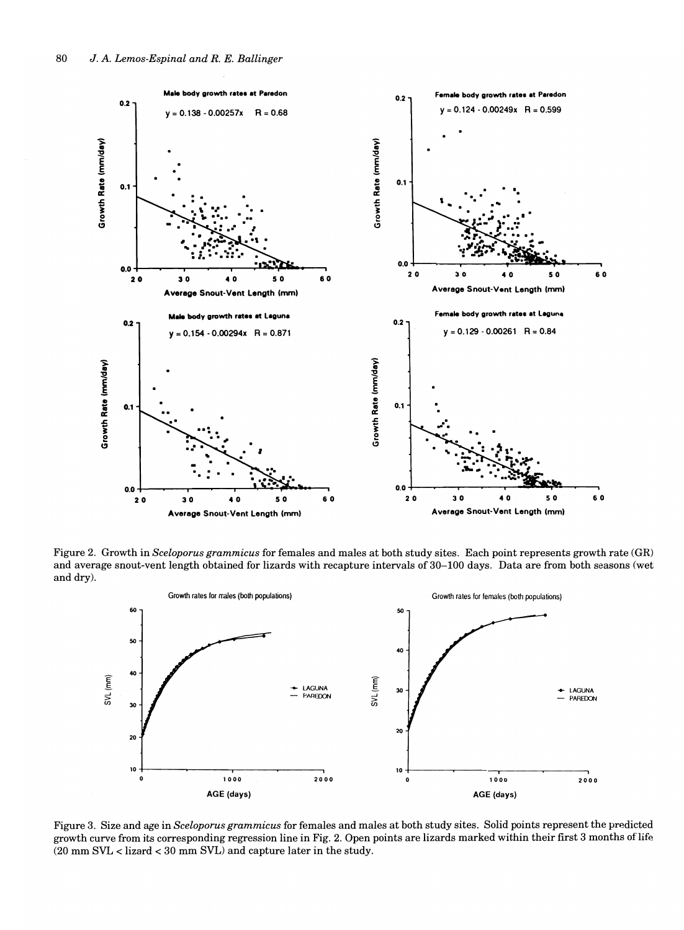

Figure 2. Growth in *Sceloporus grammicus* for females and males at both study sites. Each point represents growth rate (GR) and average snout-vent length obtained for lizards with recapture intervals of 30-100 days. Data are from both seasons (wet and dry).



Figure 3. Size and age in *Sceloporus grammicus* for females and males at both study sites. Solid points represent the predicted growth curve from its corresponding regression line in Fig. 2. Open points are lizards marked within their first 3 months of life (20 mm SVL < lizard < 30 mm SVL) and capture later in the study.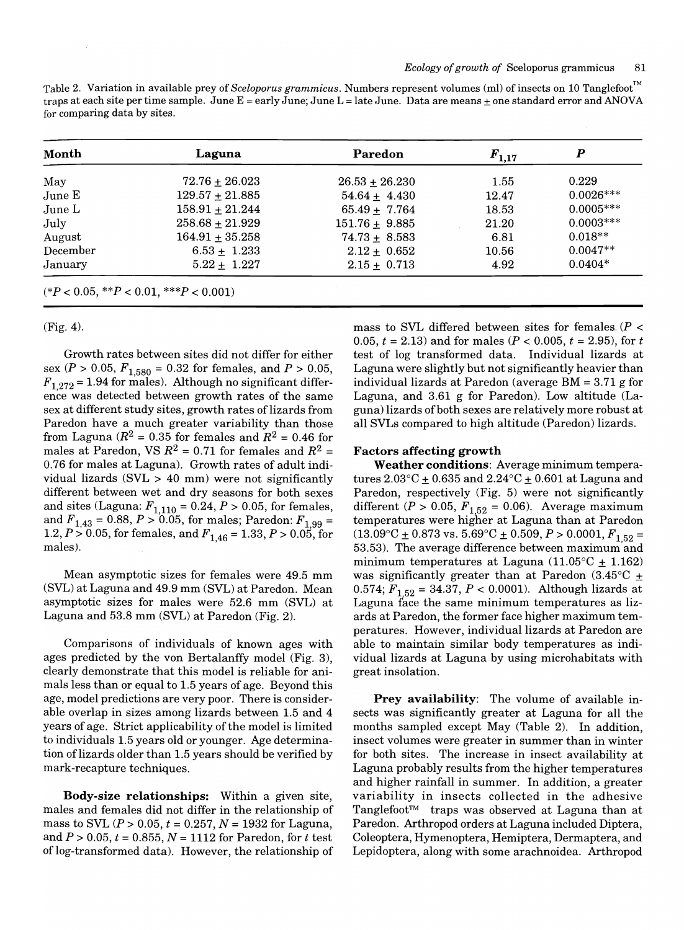Table 2. Variation in available prey of *Sceloporus grammicus.* Numbers represent volumes (ml) of insects on 10 Tanglefoot™ traps at each site per time sample. June  $E =$  early June; June  $L =$  late June. Data are means  $\pm$  one standard error and ANOVA for comparing data by sites.

| Month    | Laguna              | Paredon            | $F_{1,17}$ | P           |
|----------|---------------------|--------------------|------------|-------------|
| May      | $72.76 \pm 26.023$  | $26.53 \pm 26.230$ | 1.55       | 0.229       |
| June E   | $129.57 \pm 21.885$ | $54.64 + 4.430$    | 12.47      | $0.0026***$ |
| June L   | $158.91 \pm 21.244$ | $65.49 \pm 7.764$  | 18.53      | $0.0005***$ |
| July     | $258.68 + 21.929$   | $151.76 \pm 9.885$ | 21.20      | $0.0003***$ |
| August   | $164.91 + 35.258$   | $74.73 \pm 8.583$  | 6.81       | $0.018**$   |
| December | $6.53 \pm 1.233$    | $2.12 \pm 0.652$   | 10.56      | $0.0047**$  |
| January  | $5.22 \pm 1.227$    | $2.15 + 0.713$     | 4.92       | $0.0404*$   |

#### (Fig. 4).

Growth rates between sites did not differ for either sex ( $P > 0.05$ ,  $F_{1,580} = 0.32$  for females, and  $P > 0.05$ ,  $F_{1,272}$  = 1.94 for males). Although no significant difference was detected between growth rates of the same sex at different study sites, growth rates of lizards from Paredon have a much greater variability than those from Laguna ( $R^2 = 0.35$  for females and  $R^2 = 0.46$  for males at Paredon, VS  $R^2$  = 0.71 for females and  $R^2$  = 0.76 for males at Laguna). Growth rates of adult individual lizards  $(SVL > 40$  mm) were not significantly different between wet and dry seasons for both sexes and sites (Laguna:  $F_{1,110} = 0.24, P > 0.05$ , for females, and  $F_{1,43} = 0.88$ ,  $P > 0.05$ , for males; Paredon:  $F_{1,99} =$ 1.2,  $P > 0.05$ , for females, and  $F_{1.46} = 1.33, P > 0.05$ , for  $males$ ).

Mean asymptotic sizes for females were 49.5 mm  $(SVL)$  at Laguna and 49.9 mm  $(SVL)$  at Paredon. Mean asymptotic sizes for males were 52.6 mm (SVL) at Laguna and 53.8 mm (SVL) at Paredon (Fig. 2).

Comparisons of individuals of known ages with ages predicted by the von Bertalanffy model (Fig. 3), clearly demonstrate that this model is reliable for animals less than or equal to 1.5 years of age. Beyond this age, model predictions are very poor. There is considerable overlap in sizes among lizards between 1.5 and 4 years of age. Strict applicability of the model is limited to individuals 1.5 years old or younger. Age determination oflizards older than 1.5 years should be verified by mark-recapture techniques.

**Body-size relationships:** Within a given site, males and females did not differ in the relationship of mass to SVL *(P>* 0.05, *t* = 0.257, *N* = 1932 for Laguna, and  $P > 0.05$ ,  $t = 0.855$ ,  $N = 1112$  for Paredon, for  $t$  test of log-transformed data). However, the relationship of

mass to SVL differed between sites for females  $(P <$ 0.05,  $t = 2.13$ ) and for males ( $P < 0.005$ ,  $t = 2.95$ ), for  $t$ test of log transformed data. Individual lizards at Laguna were slightly but not significantly heavier than individual lizards at Paredon (average BM = 3.71 g for Laguna, and 3.61 g for Paredon). Low altitude (Laguna) lizards of both sexes are relatively more robust at all SVLs compared to high altitude (Paredon) lizards.

#### **Factors affecting growth**

**Weather conditions:** Average minimum temperatures  $2.03^{\circ}\text{C} \pm 0.635$  and  $2.24^{\circ}\text{C} \pm 0.601$  at Laguna and Paredon, respectively (Fig. 5) were not significantly different ( $P > 0.05$ ,  $F_{1.52} = 0.06$ ). Average maximum temperatures were higher at Laguna than at Paredon  $(13.09\textdegree C \pm 0.873 \text{ vs. } 5.69\textdegree C \pm 0.509, P > 0.0001, F_{1.52}$ 53.53). The average difference between maximum'and minimum temperatures at Laguna  $(11.05^{\circ}\text{C} + 1.162)$ was significantly greater than at Paredon (3.45°C  $\pm$ 0.574;  $F_{1.52}$  = 34.37,  $P < 0.0001$ ). Although lizards at Laguna face the same minimum temperatures as lizards at Paredon, the former face higher maximum temperatures. However, individual lizards at Paredon are able to maintain similar body temperatures as individual lizards at Laguna by using microhabitats with great insolation.

**Prey availability:** The volume of available insects was significantly greater at Laguna for all the months sampled except May (Table 2). In addition, insect volumes were greater in summer than in winter for both sites. The increase in insect availability at Laguna probably results from the higher temperatures and higher rainfall in summer. In addition, a greater variability in insects collected in the adhesive Tanglefoot™ traps was observed at Laguna than at Paredon. Arthropod orders at Laguna included Diptera, Coleoptera, Hymenoptera, Hemiptera, Dermaptera, and Lepidoptera, along with some arachnoidea. Arthropod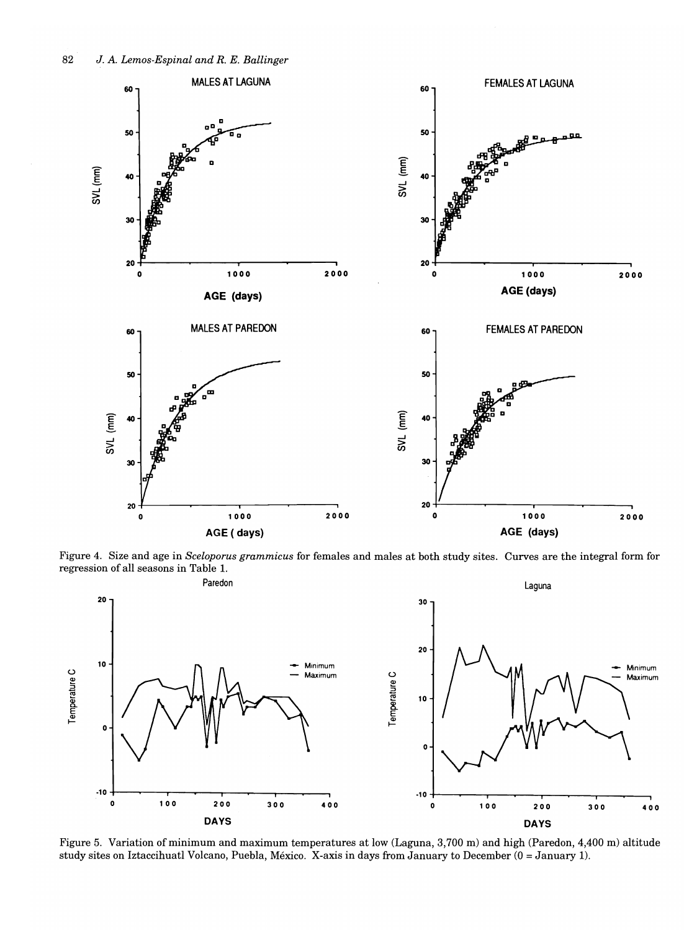

Figure 4. Size and age in *Sceloporus grammicus* for females and males at both study sites. Curves are the integral form for regression of all seasons in Table 1.



Figure 5. Variation of minimum and maximum temperatures at low (Laguna, 3,700 m) and high (Paredon, 4,400 m) altitude study sites on Iztaccihuatl Volcano, Puebla, Mexico. X-axis in days from January to December (0 = January 1).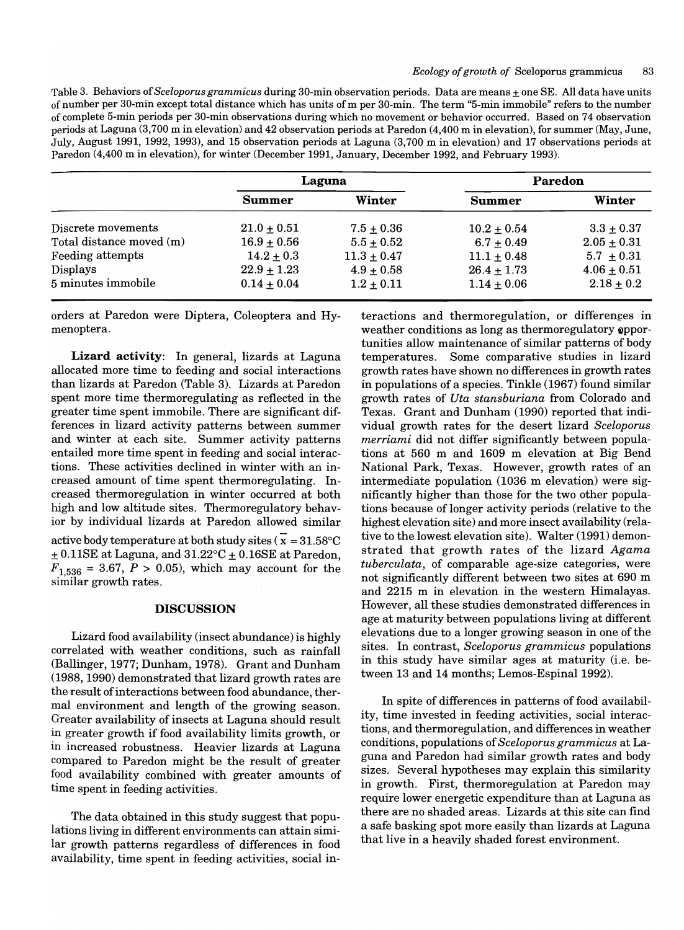Table 3. Behaviors of *Sceloporus grammicus* during 30-min observation periods. Data are means ± one SE. All data have units of number per 30-min except total distance which has units ofm per 30-min. The term "5-min immobile" refers to the number of complete 5-min periods per 30-min observations during which no movement or behavior occurred. Based on 74 observation periods at Laguna (3,700 m in elevation) and 42 observation periods at Paredon (4,400 m in elevation), for summer (May, June, July, August 1991, 1992, 1993), and 15 observation periods at Laguna (3,700 m in elevation) and 17 observations periods at Paredon (4,400 m in elevation), for winter (December 1991, January, December 1992, and February 1993).

|                          | Laguna          |                | <b>Paredon</b>  |                 |  |
|--------------------------|-----------------|----------------|-----------------|-----------------|--|
|                          | <b>Summer</b>   | Winter         | <b>Summer</b>   | Winter          |  |
| Discrete movements       | $21.0 \pm 0.51$ | $7.5 \pm 0.36$ | $10.2 \pm 0.54$ | $3.3 \pm 0.37$  |  |
| Total distance moved (m) | $16.9 \pm 0.56$ | $5.5 + 0.52$   | $6.7 \pm 0.49$  | $2.05 \pm 0.31$ |  |
| Feeding attempts         | $14.2 \pm 0.3$  | $11.3 + 0.47$  | $11.1 \pm 0.48$ | $5.7 \pm 0.31$  |  |
| Displays                 | $22.9 \pm 1.23$ | $4.9 + 0.58$   | $26.4 \pm 1.73$ | $4.06 \pm 0.51$ |  |
| 5 minutes immobile       | $0.14 + 0.04$   | $1.2 \pm 0.11$ | $1.14 \pm 0.06$ | $2.18 \pm 0.2$  |  |

orders at Paredon were Diptera, Coleoptera and Hymenoptera.

Lizard activity: In general, lizards at Laguna allocated more time to feeding and social interactions than lizards at Paredon (Table 3). Lizards at Paredon spent more time thermoregulating as reflected in the greater time spent immobile. There are significant differences in lizard activity patterns between summer and winter at each site. Summer activity patterns entailed more time spent in feeding and social interactions. These activities declined in winter with an increased amount of time spent thermoregulating. Increased thermoregulation in winter occurred at both high and low altitude sites. Thermoregulatory behavior by individual lizards at Paredon allowed similar active body temperature at both study sites ( $\overline{x}$  = 31.58°C  $\pm$  0.11SE at Laguna, and 31.22°C  $\pm$  0.16SE at Paredon,  $F_{1,536} = 3.67, P > 0.05$ , which may account for the similar growth rates.

### **DISCUSSION**

Lizard food availability (insect abundance) is highly correlated with weather conditions, such as rainfall (Ballinger, 1977; Dunham, 1978). Grant and Dunham (1988, 1990) demonstrated that lizard growth rates are the result of interactions between food abundance, thermal environment and length of the growing season. Greater availability of insects at Laguna should result in greater growth if food availability limits growth, or in increased robustness. Heavier lizards at Laguna compared to Paredon might be the result of greater food availability combined with greater amounts of time spent in feeding activities.

The data obtained in this study suggest that populations living in different environments can attain similar growth patterns regardless of differences in food availability, time spent in feeding activities, social interactions and thermoregulation, or differences in weather conditions as long as thermoregulatory  $\varphi$ pportunities allow maintenance of similar patterns of body temperatures. Some comparative studies in lizard growth rates have shown no differences in growth rates in populations of a species. Tinkle (1967) found similar growth rates of *Uta stansburiana* from Colorado and Texas. Grant and Dunham (1990) reported that individual growth rates for the desert lizard *Sceloporus merriami* did not differ significantly between populations at 560 m and 1609 m elevation at Big Bend National Park, Texas. However, growth rates of an intermediate population (1036 m elevation) were significantly higher than those for the two other populations because of longer activity periods (relative to the highest elevation site) and more insect availability (relative to the lowest elevation site). Walter (1991) demonstrated that growth rates of the lizard *Agama tuberculata,* of comparable age-size categories, were not significantly different between two sites at 690 m and 2215 m in elevation in the western Himalayas. However, all these studies demonstrated differences in age at maturity between populations living at different elevations due to a longer growing season in one of the sites. In contrast, *Sceloporus grammicus* populations in this study have similar ages at maturity (i.e. between 13 and 14 months; Lemos-Espinal 1992).

In spite of differences in patterns of food availability, time invested in feeding activities, social interactions, and thermoregulation, and differences in weather conditions, populations of *Sceloporus grammicus* at Laguna and Paredon had similar growth rates and body sizes. Several hypotheses may explain this similarity in growth. First, thermoregulation at Paredon may require lower energetic expenditure than at Laguna as there are no shaded areas. Lizards at this site can find a safe basking spot more easily than lizards at Laguna that live in a heavily shaded forest environment.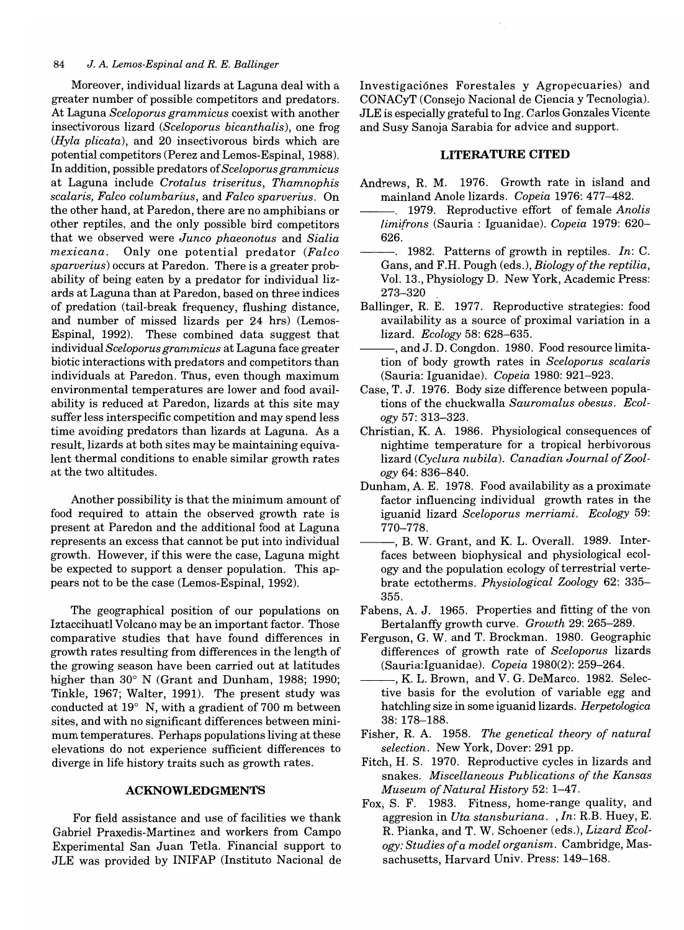#### *84* J. A. *Lemos-Espinal and R. E. Ballinger*

Moreover, individual lizards at Laguna deal with a greater number of possible competitors and predators. At Laguna *Sceloporus grammicus* coexist with another insectivorous lizard *(Sceloporus bicanthalis),* one frog *(Hyla plicata),* and 20 insectivorous birds which are potential competitors (Perez and Lemos-Espinal, 1988). In addition, possible predators of *Sceloporus grammicus*  at Laguna include *Crotalus triseritus, Thamnophis scalaris, Falco columbarius,* and *Falco sparverius.* On the other hand, at Paredon, there are no amphibians or other reptiles, and the only possible bird competitors that we observed were *Junco phaeonotus* and *Sialia mexicana.* Only one potential predator *(Falco sparverius)* occurs at Paredon. There is a greater probability of being eaten by a predator for individual lizards at Laguna than at Paredon, based on three indices of predation (tail-break. frequency, flushing distance, and number of missed lizards per 24 hrs) (Lemos-Espinal, 1992). These combined data suggest that individual *Sceloporus grammicus* at Laguna face greater biotic interactions with predators and competitors than individuals at Paredon. Thus, even though maximum environmental temperatures are lower and food availability is reduced at Paredon, lizards at this site may suffer less interspecific competition and may spend less time avoiding predators than lizards at Laguna. As a result, lizards at both sites may be maintaining equivalent thermal conditions to enable similar growth rates at the two altitudes.

Another possibility is that the minimum amount of food required to attain the observed growth rate is present at Paredon and the additional food at Laguna represents an excess that cannot be put into individual growth. However, if this were the case, Laguna might be expected to support a denser population. This appears not to be the case (Lemos-Espinal, 1992).

The geographical position of our populations on Iztaccihuatl Volcano may be an important factor. Those comparative studies that have found differences in growth rates resulting from differences in the length of the growing season have been carried out at latitudes higher than 30° N (Grant and Dunham, 1988; 1990; Tinkle, 1967; Walter, 1991). The present study was conducted at 19° N, with a gradient of 700 m between sites, and with no significant differences between minimum temperatures. Perhaps populations living at these elevations do not experience sufficient differences to diverge in life history traits such as growth rates.

## **ACKNOWLEDGMENTS**

For field assistance and use of facilities we thank Gabriel Praxedis-Martinez and workers from Campo Experimental San Juan Tetla. Financial support to JLE was provided by INIFAP (Instituto Nacional de Investigaciones Forestales y Agropecuaries) and CONACyT (Consejo Nacional de Ciencia y Tecnologia). JLE is especially grateful to Ing. Carlos Gonzales Vicente and Susy Sanoja Sarabia for advice and support.

#### **LITERATURE CITED**

- Andrews, R. M. 1976. Growth rate in island and mainland Anole lizards. *Copeia* 1976: 477-482.
- ---. 1979. Reproductive effort of female *Anolis limifrons* (Sauria : Iguanidae). *Copeia* 1979: 620- 626.
- ---. 1982. Patterns of growth in reptiles. *In:* C. Gans, and F.H. Pough (eds.), *Biology of the reptilia,*  Vol. 13., Physiology D. New York, Academic Press: 273-320
- Ballinger, R. E. 1977. Reproductive strategies: food availability as a source of proximal variation in a lizard. *Ecology* 58: 628-635.
- -, and J. D. Congdon. 1980. Food resource limitation of body growth rates in *Sceloporus scalaris*  (Sauria: Iguanidae). *Copeia* 1980: 921-923.
- Case, T. J. 1976. Body size difference between populations of the chuckwalla *Sauromalus obesus. Ecology* 57: 313-323.
- Christian, K. A. 1986. Physiological consequences of nightime temperature for a. tropical herbivorous lizard *(Cyciura nubila). Canadian Journal ofZoology* 64: 836-840.
- Dunham, A. E. 1978. Food availability as a proximate factor influencing individual growth rates in the iguanid lizard *Sceloporus merriami. Ecology 59:*  770-778.
- --, B. W. Grant, and K. L. Overall. 1989. Interfaces between biophysical and physiological ecology and the population ecology of terrestrial vertebrate ectotherms. *Physiological Zoology* 62: 335- 355.
- Fabens, A. J. 1965. Properties and fitting of the von Bertalanffy growth curve. *Growth* 29: 265-289.
- Ferguson, G. W. and T. Brockman. 1980. Geographic differences of growth rate of *Sceloporus* lizards (Sauria:Iguanidae). *Copeia* 1980(2): 259-264.
- -, K. L. Brown, and V. G. DeMarco. 1982. Selective basis for the evolution of variable egg and hatchling size in some iguanid lizards. *Herpetologica*  38: 178-188.
- Fisher, R. A. 1958. *The genetical theory of natural selection.* New York, Dover: 291 pp.
- Fitch, H. S. 1970. Reproductive cycles in lizards and snakes. *Miscellaneous Publications of the Kansas Museum of Natural History* 52: 1-47.
- Fox, S. F. 1983. Fitness, home-range quality, and aggresion in *Uta stansburiana. ,In:* R.B. Huey, E. R. Pianka, and T. W. Schoener (eds.), *Lizard Ecology: Studies of a model organism.* Cambridge, Massachusetts, Harvard Univ. Press: 149-168.